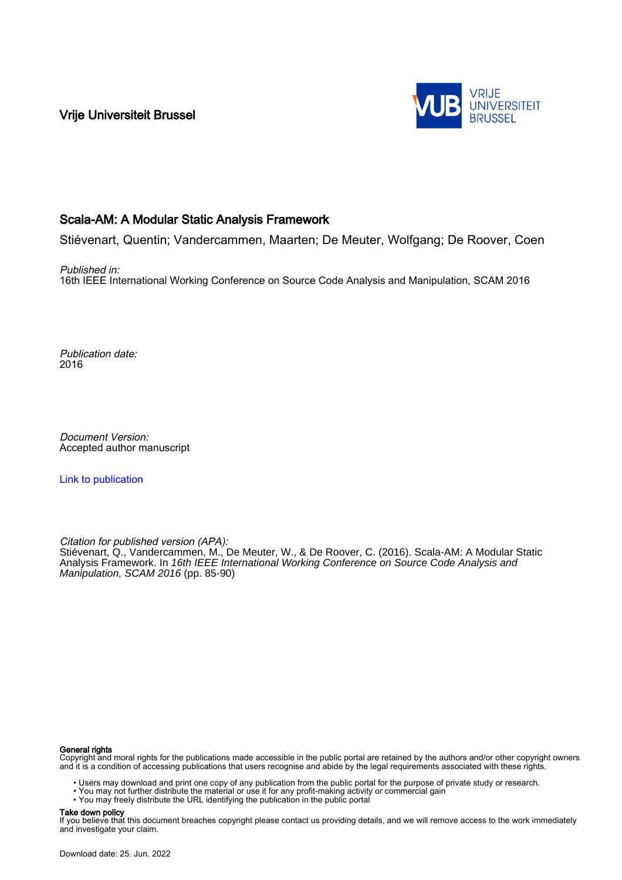Vrije Universiteit Brussel



# Scala-AM: A Modular Static Analysis Framework

Stiévenart, Quentin; Vandercammen, Maarten; De Meuter, Wolfgang; De Roover, Coen

Published in: 16th IEEE International Working Conference on Source Code Analysis and Manipulation, SCAM 2016

Publication date: 2016

Document Version: Accepted author manuscript

[Link to publication](https://researchportal.vub.be/en/publications/bdc7e619-d548-4aa2-8311-f6e09c5beac2)

Citation for published version (APA): Stiévenart, Q., Vandercammen, M., De Meuter, W., & De Roover, C. (2016). Scala-AM: A Modular Static Analysis Framework. In 16th IEEE International Working Conference on Source Code Analysis and Manipulation, SCAM 2016 (pp. 85-90)

#### General rights

Copyright and moral rights for the publications made accessible in the public portal are retained by the authors and/or other copyright owners and it is a condition of accessing publications that users recognise and abide by the legal requirements associated with these rights.

• Users may download and print one copy of any publication from the public portal for the purpose of private study or research.

- You may not further distribute the material or use it for any profit-making activity or commercial gain
- You may freely distribute the URL identifying the publication in the public portal

# Take down policy

If you believe that this document breaches copyright please contact us providing details, and we will remove access to the work immediately and investigate your claim.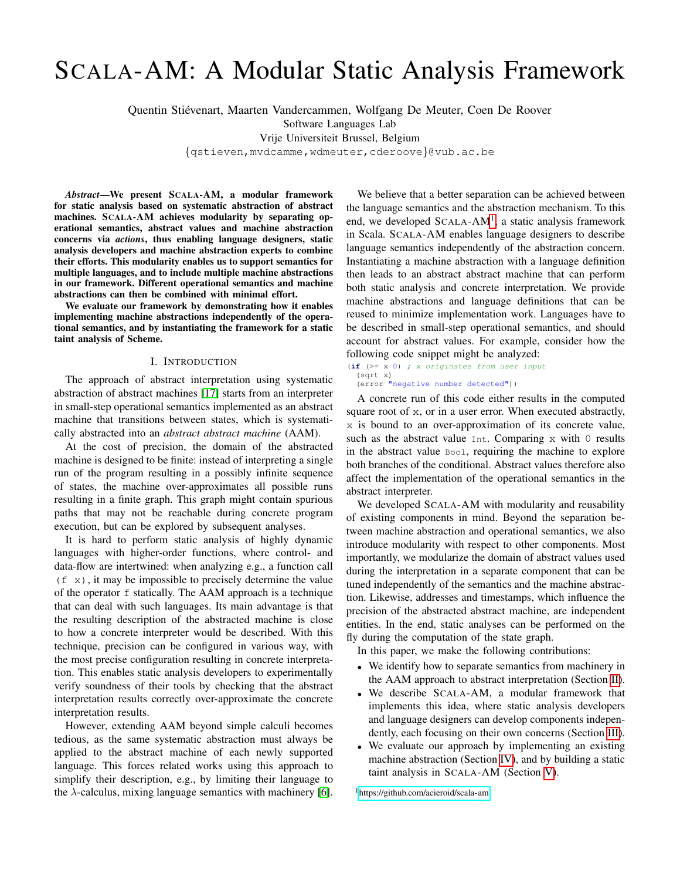# SCALA-AM: A Modular Static Analysis Framework

Quentin Stievenart, Maarten Vandercammen, Wolfgang De Meuter, Coen De Roover ´

Software Languages Lab

Vrije Universiteit Brussel, Belgium

{qstieven,mvdcamme,wdmeuter,cderoove}@vub.ac.be

*Abstract*—We present SCALA-AM, a modular framework for static analysis based on systematic abstraction of abstract machines. SCALA-AM achieves modularity by separating operational semantics, abstract values and machine abstraction concerns via *actions*, thus enabling language designers, static analysis developers and machine abstraction experts to combine their efforts. This modularity enables us to support semantics for multiple languages, and to include multiple machine abstractions in our framework. Different operational semantics and machine abstractions can then be combined with minimal effort.

We evaluate our framework by demonstrating how it enables implementing machine abstractions independently of the operational semantics, and by instantiating the framework for a static taint analysis of Scheme.

# I. INTRODUCTION

The approach of abstract interpretation using systematic abstraction of abstract machines [\[17\]](#page-6-0) starts from an interpreter in small-step operational semantics implemented as an abstract machine that transitions between states, which is systematically abstracted into an *abstract abstract machine* (AAM).

At the cost of precision, the domain of the abstracted machine is designed to be finite: instead of interpreting a single run of the program resulting in a possibly infinite sequence of states, the machine over-approximates all possible runs resulting in a finite graph. This graph might contain spurious paths that may not be reachable during concrete program execution, but can be explored by subsequent analyses.

It is hard to perform static analysis of highly dynamic languages with higher-order functions, where control- and data-flow are intertwined: when analyzing e.g., a function call  $(f \times)$ , it may be impossible to precisely determine the value of the operator f statically. The AAM approach is a technique that can deal with such languages. Its main advantage is that the resulting description of the abstracted machine is close to how a concrete interpreter would be described. With this technique, precision can be configured in various way, with the most precise configuration resulting in concrete interpretation. This enables static analysis developers to experimentally verify soundness of their tools by checking that the abstract interpretation results correctly over-approximate the concrete interpretation results.

However, extending AAM beyond simple calculi becomes tedious, as the same systematic abstraction must always be applied to the abstract machine of each newly supported language. This forces related works using this approach to simplify their description, e.g., by limiting their language to the  $\lambda$ -calculus, mixing language semantics with machinery [\[6\]](#page-6-1).

We believe that a better separation can be achieved between the language semantics and the abstraction mechanism. To this end, we developed SCALA-AM<sup>[1](#page-1-0)</sup>, a static analysis framework in Scala. SCALA-AM enables language designers to describe language semantics independently of the abstraction concern. Instantiating a machine abstraction with a language definition then leads to an abstract abstract machine that can perform both static analysis and concrete interpretation. We provide machine abstractions and language definitions that can be reused to minimize implementation work. Languages have to be described in small-step operational semantics, and should account for abstract values. For example, consider how the following code snippet might be analyzed:

(**if** (>= x 0) ; x originates from user input (sqrt x)

(error "negative number detected"))

A concrete run of this code either results in the computed square root of x, or in a user error. When executed abstractly, x is bound to an over-approximation of its concrete value, such as the abstract value  $Int.$  Comparing x with 0 results in the abstract value Bool, requiring the machine to explore both branches of the conditional. Abstract values therefore also affect the implementation of the operational semantics in the abstract interpreter.

We developed SCALA-AM with modularity and reusability of existing components in mind. Beyond the separation between machine abstraction and operational semantics, we also introduce modularity with respect to other components. Most importantly, we modularize the domain of abstract values used during the interpretation in a separate component that can be tuned independently of the semantics and the machine abstraction. Likewise, addresses and timestamps, which influence the precision of the abstracted abstract machine, are independent entities. In the end, static analyses can be performed on the fly during the computation of the state graph.

In this paper, we make the following contributions:

- We identify how to separate semantics from machinery in the AAM approach to abstract interpretation (Section [II\)](#page-2-0).
- We describe SCALA-AM, a modular framework that implements this idea, where static analysis developers and language designers can develop components independently, each focusing on their own concerns (Section [III\)](#page-2-1).
- We evaluate our approach by implementing an existing machine abstraction (Section [IV\)](#page-4-0), and by building a static taint analysis in SCALA-AM (Section [V\)](#page-5-0).

<span id="page-1-0"></span><sup>1</sup><https://github.com/acieroid/scala-am>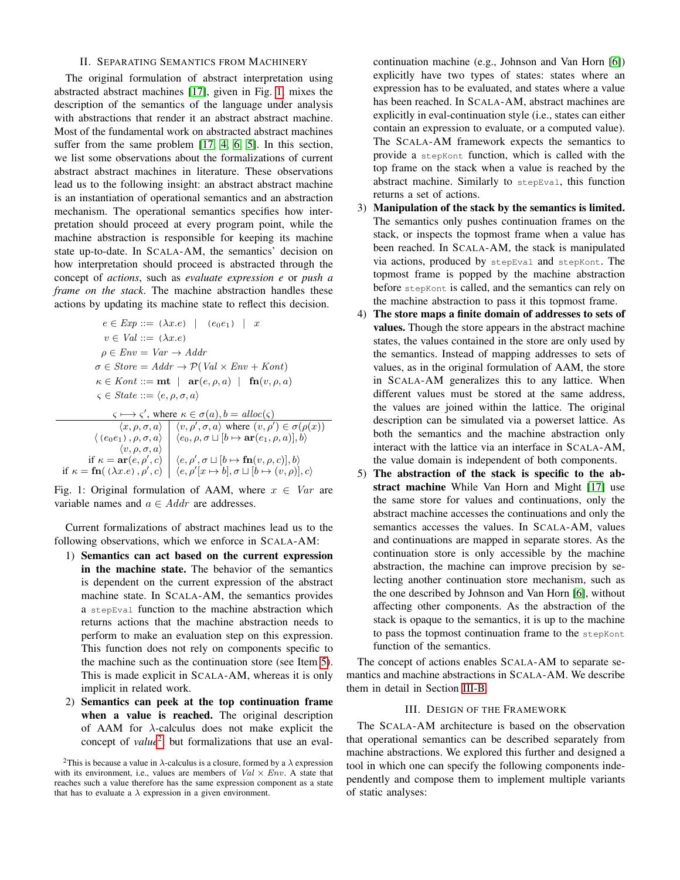# II. SEPARATING SEMANTICS FROM MACHINERY

<span id="page-2-0"></span>The original formulation of abstract interpretation using abstracted abstract machines [\[17\]](#page-6-0), given in Fig. [1,](#page-2-2) mixes the description of the semantics of the language under analysis with abstractions that render it an abstract abstract machine. Most of the fundamental work on abstracted abstract machines suffer from the same problem [\[17,](#page-6-0) [4,](#page-6-2) [6,](#page-6-1) [5\]](#page-6-3). In this section, we list some observations about the formalizations of current abstract abstract machines in literature. These observations lead us to the following insight: an abstract abstract machine is an instantiation of operational semantics and an abstraction mechanism. The operational semantics specifies how interpretation should proceed at every program point, while the machine abstraction is responsible for keeping its machine state up-to-date. In SCALA-AM, the semantics' decision on how interpretation should proceed is abstracted through the concept of *actions*, such as *evaluate expression e* or *push a frame on the stack*. The machine abstraction handles these actions by updating its machine state to reflect this decision.

<span id="page-2-2"></span>
$$
e \in Exp ::= (\lambda x.e) \mid (e_0e_1) \mid x
$$
  
\n
$$
v \in Val ::= (\lambda x.e)
$$
  
\n
$$
\rho \in Env = Var \rightarrow Addr
$$
  
\n
$$
\sigma \in Store = Addr \rightarrow \mathcal{P}(Val \times Env + Kont)
$$
  
\n
$$
\kappa \in Kont ::= \mathbf{mt} \mid \mathbf{ar}(e, \rho, a) \mid \mathbf{fn}(v, \rho, a)
$$
  
\n
$$
\varsigma \in State ::= \langle e, \rho, \sigma, a \rangle
$$
  
\n
$$
\frac{\varsigma \mapsto \varsigma', \text{ where } \kappa \in \sigma(a), b = alloc(\varsigma)}{\langle x, \rho, \sigma, a \rangle \mid \langle v, \rho', \sigma, a \rangle \text{ where } (v, \rho') \in \sigma(\rho(x))}
$$
  
\n
$$
\langle (e_0e_1), \rho, \sigma, a \rangle \mid \langle e, \rho', \sigma \sqcup [b \mapsto \mathbf{ar}(e_1, \rho, a)], b \rangle
$$
  
\n
$$
\langle v, \rho, \sigma, a \rangle
$$
  
\nif  $\kappa = \mathbf{ar}(e, \rho', c) \mid \langle e, \rho', \sigma \sqcup [b \mapsto \mathbf{fn}(v, \rho, c)], b \rangle$ 

Fig. 1: Original formulation of AAM, where  $x \in Var$  are variable names and  $a \in Addr$  are addresses.

if  $\kappa = \text{fn}(\ (\lambda x.e), \rho', c) \mid \langle e, \rho' | x \mapsto b |, \sigma \sqcup [b \mapsto (v, \rho)], c \rangle$ 

Current formalizations of abstract machines lead us to the following observations, which we enforce in SCALA-AM:

- 1) Semantics can act based on the current expression in the machine state. The behavior of the semantics is dependent on the current expression of the abstract machine state. In SCALA-AM, the semantics provides a stepEval function to the machine abstraction which returns actions that the machine abstraction needs to perform to make an evaluation step on this expression. This function does not rely on components specific to the machine such as the continuation store (see Item [5\)](#page-2-3). This is made explicit in SCALA-AM, whereas it is only implicit in related work.
- 2) Semantics can peek at the top continuation frame when a value is reached. The original description of AAM for  $\lambda$ -calculus does not make explicit the concept of *value*[2](#page-2-4) , but formalizations that use an eval-

continuation machine (e.g., Johnson and Van Horn [\[6\]](#page-6-1)) explicitly have two types of states: states where an expression has to be evaluated, and states where a value has been reached. In SCALA-AM, abstract machines are explicitly in eval-continuation style (i.e., states can either contain an expression to evaluate, or a computed value). The SCALA-AM framework expects the semantics to provide a stepKont function, which is called with the top frame on the stack when a value is reached by the abstract machine. Similarly to stepEval, this function returns a set of actions.

- 3) Manipulation of the stack by the semantics is limited. The semantics only pushes continuation frames on the stack, or inspects the topmost frame when a value has been reached. In SCALA-AM, the stack is manipulated via actions, produced by stepEval and stepKont. The topmost frame is popped by the machine abstraction before stepKont is called, and the semantics can rely on the machine abstraction to pass it this topmost frame.
- 4) The store maps a finite domain of addresses to sets of values. Though the store appears in the abstract machine states, the values contained in the store are only used by the semantics. Instead of mapping addresses to sets of values, as in the original formulation of AAM, the store in SCALA-AM generalizes this to any lattice. When different values must be stored at the same address, the values are joined within the lattice. The original description can be simulated via a powerset lattice. As both the semantics and the machine abstraction only interact with the lattice via an interface in SCALA-AM, the value domain is independent of both components.
- <span id="page-2-3"></span>5) The abstraction of the stack is specific to the abstract machine While Van Horn and Might [\[17\]](#page-6-0) use the same store for values and continuations, only the abstract machine accesses the continuations and only the semantics accesses the values. In SCALA-AM, values and continuations are mapped in separate stores. As the continuation store is only accessible by the machine abstraction, the machine can improve precision by selecting another continuation store mechanism, such as the one described by Johnson and Van Horn [\[6\]](#page-6-1), without affecting other components. As the abstraction of the stack is opaque to the semantics, it is up to the machine to pass the topmost continuation frame to the stepKont function of the semantics.

The concept of actions enables SCALA-AM to separate semantics and machine abstractions in SCALA-AM. We describe them in detail in Section [III-B.](#page-3-0)

# III. DESIGN OF THE FRAMEWORK

<span id="page-2-1"></span>The SCALA-AM architecture is based on the observation that operational semantics can be described separately from machine abstractions. We explored this further and designed a tool in which one can specify the following components independently and compose them to implement multiple variants of static analyses:

<span id="page-2-4"></span><sup>&</sup>lt;sup>2</sup>This is because a value in  $\lambda$ -calculus is a closure, formed by a  $\lambda$  expression with its environment, i.e., values are members of  $Val \times Env$ . A state that reaches such a value therefore has the same expression component as a state that has to evaluate a  $\lambda$  expression in a given environment.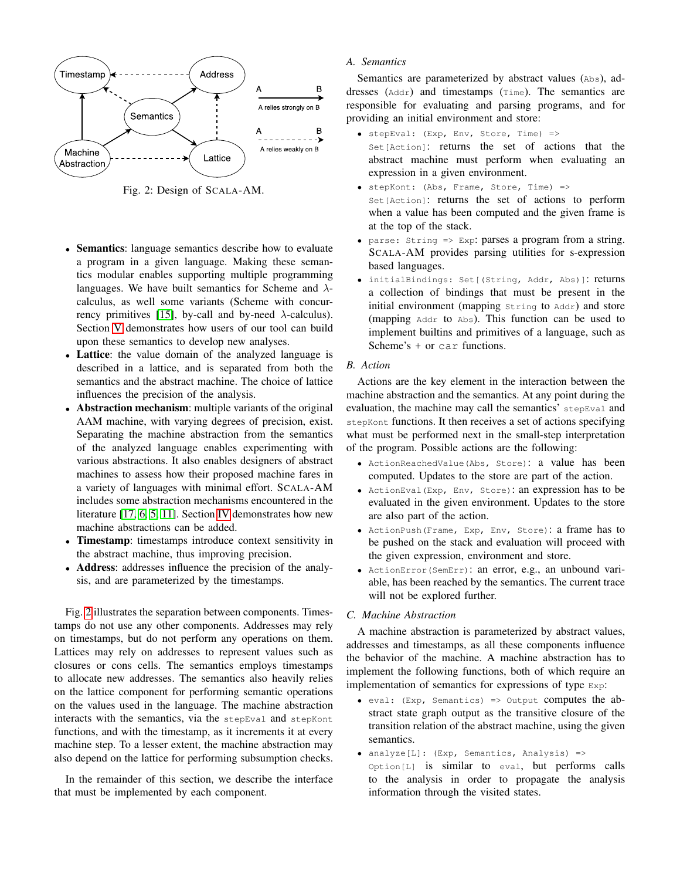<span id="page-3-1"></span>

Fig. 2: Design of SCALA-AM.

- Semantics: language semantics describe how to evaluate a program in a given language. Making these semantics modular enables supporting multiple programming languages. We have built semantics for Scheme and  $\lambda$ calculus, as well some variants (Scheme with concur-rency primitives [\[15\]](#page-6-4), by-call and by-need  $λ$ -calculus). Section [V](#page-5-0) demonstrates how users of our tool can build upon these semantics to develop new analyses.
- Lattice: the value domain of the analyzed language is described in a lattice, and is separated from both the semantics and the abstract machine. The choice of lattice influences the precision of the analysis.
- Abstraction mechanism: multiple variants of the original AAM machine, with varying degrees of precision, exist. Separating the machine abstraction from the semantics of the analyzed language enables experimenting with various abstractions. It also enables designers of abstract machines to assess how their proposed machine fares in a variety of languages with minimal effort. SCALA-AM includes some abstraction mechanisms encountered in the literature [\[17,](#page-6-0) [6,](#page-6-1) [5,](#page-6-3) [11\]](#page-6-5). Section [IV](#page-4-0) demonstrates how new machine abstractions can be added.
- Timestamp: timestamps introduce context sensitivity in the abstract machine, thus improving precision.
- Address: addresses influence the precision of the analysis, and are parameterized by the timestamps.

Fig. [2](#page-3-1) illustrates the separation between components. Timestamps do not use any other components. Addresses may rely on timestamps, but do not perform any operations on them. Lattices may rely on addresses to represent values such as closures or cons cells. The semantics employs timestamps to allocate new addresses. The semantics also heavily relies on the lattice component for performing semantic operations on the values used in the language. The machine abstraction interacts with the semantics, via the stepEval and stepKont functions, and with the timestamp, as it increments it at every machine step. To a lesser extent, the machine abstraction may also depend on the lattice for performing subsumption checks.

In the remainder of this section, we describe the interface that must be implemented by each component.

# *A. Semantics*

Semantics are parameterized by abstract values (Abs), addresses (Addr) and timestamps (Time). The semantics are responsible for evaluating and parsing programs, and for providing an initial environment and store:

- stepEval: (Exp, Env, Store, Time) => Set[Action]: returns the set of actions that the abstract machine must perform when evaluating an expression in a given environment.
- stepKont: (Abs, Frame, Store, Time) => Set[Action]: returns the set of actions to perform when a value has been computed and the given frame is at the top of the stack.
- parse: String => Exp: parses a program from a string. SCALA-AM provides parsing utilities for s-expression based languages.
- initialBindings: Set[(String, Addr, Abs)]: returns a collection of bindings that must be present in the initial environment (mapping String to Addr) and store (mapping Addr to Abs). This function can be used to implement builtins and primitives of a language, such as Scheme's + or car functions.
- <span id="page-3-0"></span>*B. Action*

Actions are the key element in the interaction between the machine abstraction and the semantics. At any point during the evaluation, the machine may call the semantics' stepEval and stepKont functions. It then receives a set of actions specifying what must be performed next in the small-step interpretation of the program. Possible actions are the following:

- ActionReachedValue(Abs, Store): a value has been computed. Updates to the store are part of the action.
- ActionEval(Exp, Env, Store): an expression has to be evaluated in the given environment. Updates to the store are also part of the action.
- ActionPush(Frame, Exp, Env, Store): a frame has to be pushed on the stack and evaluation will proceed with the given expression, environment and store.
- ActionError(SemErr): an error, e.g., an unbound variable, has been reached by the semantics. The current trace will not be explored further.

# *C. Machine Abstraction*

A machine abstraction is parameterized by abstract values, addresses and timestamps, as all these components influence the behavior of the machine. A machine abstraction has to implement the following functions, both of which require an implementation of semantics for expressions of type Exp:

- $\bullet$  eval: (Exp, Semantics) => Output computes the abstract state graph output as the transitive closure of the transition relation of the abstract machine, using the given semantics.
- analyze[L]: (Exp, Semantics, Analysis) =>  $Option[L]$  is similar to eval, but performs calls to the analysis in order to propagate the analysis information through the visited states.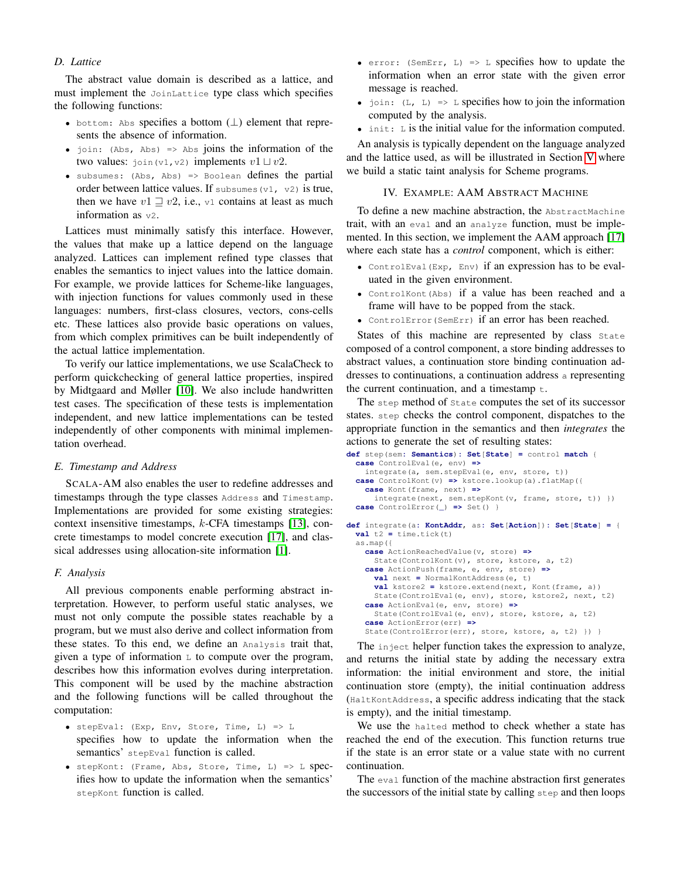# *D. Lattice*

The abstract value domain is described as a lattice, and must implement the JoinLattice type class which specifies the following functions:

- bottom: Abs specifies a bottom  $(\perp)$  element that represents the absence of information.
- join: (Abs, Abs) => Abs joins the information of the two values:  $\phi$ ioin(v1, v2) implements  $v1 \sqcup v2$ .
- subsumes: (Abs, Abs) => Boolean defines the partial order between lattice values. If subsumes  $(v1, v2)$  is true, then we have  $v1 \sqsupseteq v2$ , i.e.,  $v1$  contains at least as much information as v2.

Lattices must minimally satisfy this interface. However, the values that make up a lattice depend on the language analyzed. Lattices can implement refined type classes that enables the semantics to inject values into the lattice domain. For example, we provide lattices for Scheme-like languages, with injection functions for values commonly used in these languages: numbers, first-class closures, vectors, cons-cells etc. These lattices also provide basic operations on values, from which complex primitives can be built independently of the actual lattice implementation.

To verify our lattice implementations, we use ScalaCheck to perform quickchecking of general lattice properties, inspired by Midtgaard and Møller [\[10\]](#page-6-6). We also include handwritten test cases. The specification of these tests is implementation independent, and new lattice implementations can be tested independently of other components with minimal implementation overhead.

# *E. Timestamp and Address*

SCALA-AM also enables the user to redefine addresses and timestamps through the type classes Address and Timestamp. Implementations are provided for some existing strategies: context insensitive timestamps, k-CFA timestamps [\[13\]](#page-6-7), concrete timestamps to model concrete execution [\[17\]](#page-6-0), and classical addresses using allocation-site information [\[1\]](#page-6-8).

# *F. Analysis*

All previous components enable performing abstract interpretation. However, to perform useful static analyses, we must not only compute the possible states reachable by a program, but we must also derive and collect information from these states. To this end, we define an Analysis trait that, given a type of information  $L$  to compute over the program, describes how this information evolves during interpretation. This component will be used by the machine abstraction and the following functions will be called throughout the computation:

- stepEval: (Exp, Env, Store, Time, L) => L specifies how to update the information when the semantics' stepEval function is called.
- stepKont: (Frame, Abs, Store, Time, L) => L specifies how to update the information when the semantics' stepKont function is called.
- error: (SemErr,  $L$ ) =>  $L$  specifies how to update the information when an error state with the given error message is reached.
- join:  $(L, L) \implies L$  specifies how to join the information computed by the analysis.
- $\bullet$  init: L is the initial value for the information computed.

An analysis is typically dependent on the language analyzed and the lattice used, as will be illustrated in Section [V](#page-5-0) where we build a static taint analysis for Scheme programs.

#### IV. EXAMPLE: AAM ABSTRACT MACHINE

<span id="page-4-0"></span>To define a new machine abstraction, the AbstractMachine trait, with an eval and an analyze function, must be implemented. In this section, we implement the AAM approach [\[17\]](#page-6-0) where each state has a *control* component, which is either:

- ControlEval(Exp, Env) if an expression has to be evaluated in the given environment.
- ControlKont(Abs) if a value has been reached and a frame will have to be popped from the stack.
- ControlError(SemErr) if an error has been reached.

States of this machine are represented by class state composed of a control component, a store binding addresses to abstract values, a continuation store binding continuation addresses to continuations, a continuation address a representing the current continuation, and a timestamp  $t$ .

The step method of State computes the set of its successor states. step checks the control component, dispatches to the appropriate function in the semantics and then *integrates* the actions to generate the set of resulting states:

```
def step(sem: Semantics): Set[State] = control match {
  case ControlEval(e, env) =>
    integrate(a, sem.stepEval(e, env, store, t))
  case ControlKont(v) => kstore.lookup(a).flatMap({
    case Kont(frame, next) =>
      integrate(next, sem.stepKont(v, frame, store, t)) })
  case ControlError(_) => Set() }
def integrate(a: KontAddr, as: Set[Action]): Set[State] = {
  val t2 = time.title(t)as.map({
    case ActionReachedValue(v, store) =>
      State(ControlKont(v), store, kstore, a, t2)
    case ActionPush(frame, e, env, store) =>
      val next = NormalKontAddress(e, t)
      val kstore2 = kstore.extend(next, Kont(frame, a))
      State(ControlEval(e, env), store, kstore2, next, t2)
    case ActionEval(e, env, store) =>
      State(ControlEval(e, env), store, kstore, a, t2)
    case ActionError(err) =>
    State(ControlError(err), store, kstore, a, t2) }) }
```
The inject helper function takes the expression to analyze, and returns the initial state by adding the necessary extra information: the initial environment and store, the initial continuation store (empty), the initial continuation address (HaltKontAddress, a specific address indicating that the stack is empty), and the initial timestamp.

We use the halted method to check whether a state has reached the end of the execution. This function returns true if the state is an error state or a value state with no current continuation.

The eval function of the machine abstraction first generates the successors of the initial state by calling step and then loops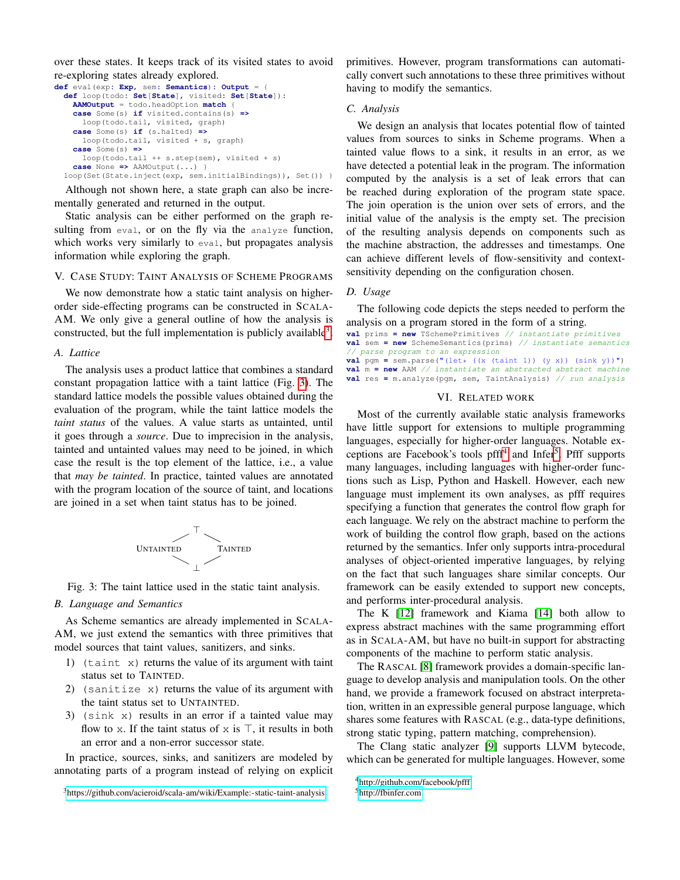over these states. It keeps track of its visited states to avoid re-exploring states already explored.

```
def eval(exp: Exp, sem: Semantics): Output = {
  def loop(todo: Set[State], visited: Set[State]):
    AAMOutput = todo.headOption match {
    case Some(s) if visited.contains(s) =>
      loop(todo.tail, visited, graph)
    case Some(s) if (s.halted) =>
      loop(todo.tail, visited + s, graph)
    case Some(s) =>
      loop(todo.tail ++ s.step(sem), visited + s)
    case None => AAMOutput(...) }
  loop(Set(State.inject(exp, sem.initialBindings)), Set()) }
```
Although not shown here, a state graph can also be incrementally generated and returned in the output.

Static analysis can be either performed on the graph resulting from eval, or on the fly via the analyze function, which works very similarly to eval, but propagates analysis information while exploring the graph.

# <span id="page-5-0"></span>V. CASE STUDY: TAINT ANALYSIS OF SCHEME PROGRAMS

We now demonstrate how a static taint analysis on higherorder side-effecting programs can be constructed in SCALA-AM. We only give a general outline of how the analysis is constructed, but the full implementation is publicly available<sup>[3](#page-5-1)</sup>.

#### *A. Lattice*

The analysis uses a product lattice that combines a standard constant propagation lattice with a taint lattice (Fig. [3\)](#page-5-2). The standard lattice models the possible values obtained during the evaluation of the program, while the taint lattice models the *taint status* of the values. A value starts as untainted, until it goes through a *source*. Due to imprecision in the analysis, tainted and untainted values may need to be joined, in which case the result is the top element of the lattice, i.e., a value that *may be tainted*. In practice, tainted values are annotated with the program location of the source of taint, and locations are joined in a set when taint status has to be joined.



<span id="page-5-2"></span>Fig. 3: The taint lattice used in the static taint analysis.

# *B. Language and Semantics*

As Scheme semantics are already implemented in SCALA-AM, we just extend the semantics with three primitives that model sources that taint values, sanitizers, and sinks.

- 1) (taint x) returns the value of its argument with taint status set to TAINTED.
- 2) (sanitize x) returns the value of its argument with the taint status set to UNTAINTED.
- 3) (sink x) results in an error if a tainted value may flow to x. If the taint status of x is  $\top$ , it results in both an error and a non-error successor state.

In practice, sources, sinks, and sanitizers are modeled by annotating parts of a program instead of relying on explicit primitives. However, program transformations can automatically convert such annotations to these three primitives without having to modify the semantics.

# *C. Analysis*

We design an analysis that locates potential flow of tainted values from sources to sinks in Scheme programs. When a tainted value flows to a sink, it results in an error, as we have detected a potential leak in the program. The information computed by the analysis is a set of leak errors that can be reached during exploration of the program state space. The join operation is the union over sets of errors, and the initial value of the analysis is the empty set. The precision of the resulting analysis depends on components such as the machine abstraction, the addresses and timestamps. One can achieve different levels of flow-sensitivity and contextsensitivity depending on the configuration chosen.

# *D. Usage*

The following code depicts the steps needed to perform the analysis on a program stored in the form of a string.

```
val prims = new TSchemePrimitives // instantiate primitives
val sem = new SchemeSemantics(prims) // instantiate semantics
// parse program to an expression
val pgm = sem.parse("(let* ((x (taint 1)) (y x)) (sink y))")
val m = new AAM // instantiate an abstracted abstract machine
val res = m.analyze(pgm, sem, TaintAnalysis) // run analysis
```
#### VI. RELATED WORK

Most of the currently available static analysis frameworks have little support for extensions to multiple programming languages, especially for higher-order languages. Notable ex-ceptions are Facebook's tools pfff<sup>[4](#page-5-3)</sup> and Infer<sup>[5](#page-5-4)</sup>. Pfff supports many languages, including languages with higher-order functions such as Lisp, Python and Haskell. However, each new language must implement its own analyses, as pfff requires specifying a function that generates the control flow graph for each language. We rely on the abstract machine to perform the work of building the control flow graph, based on the actions returned by the semantics. Infer only supports intra-procedural analyses of object-oriented imperative languages, by relying on the fact that such languages share similar concepts. Our framework can be easily extended to support new concepts, and performs inter-procedural analysis.

The K [\[12\]](#page-6-9) framework and Kiama [\[14\]](#page-6-10) both allow to express abstract machines with the same programming effort as in SCALA-AM, but have no built-in support for abstracting components of the machine to perform static analysis.

The RASCAL [\[8\]](#page-6-11) framework provides a domain-specific language to develop analysis and manipulation tools. On the other hand, we provide a framework focused on abstract interpretation, written in an expressible general purpose language, which shares some features with RASCAL (e.g., data-type definitions, strong static typing, pattern matching, comprehension).

The Clang static analyzer [\[9\]](#page-6-12) supports LLVM bytecode, which can be generated for multiple languages. However, some

<span id="page-5-1"></span> $3$ <https://github.com/acieroid/scala-am/wiki/Example:-static-taint-analysis>

<span id="page-5-3"></span><sup>4</sup><http://github.com/facebook/pfff>

<span id="page-5-4"></span><sup>5</sup><http://fbinfer.com>